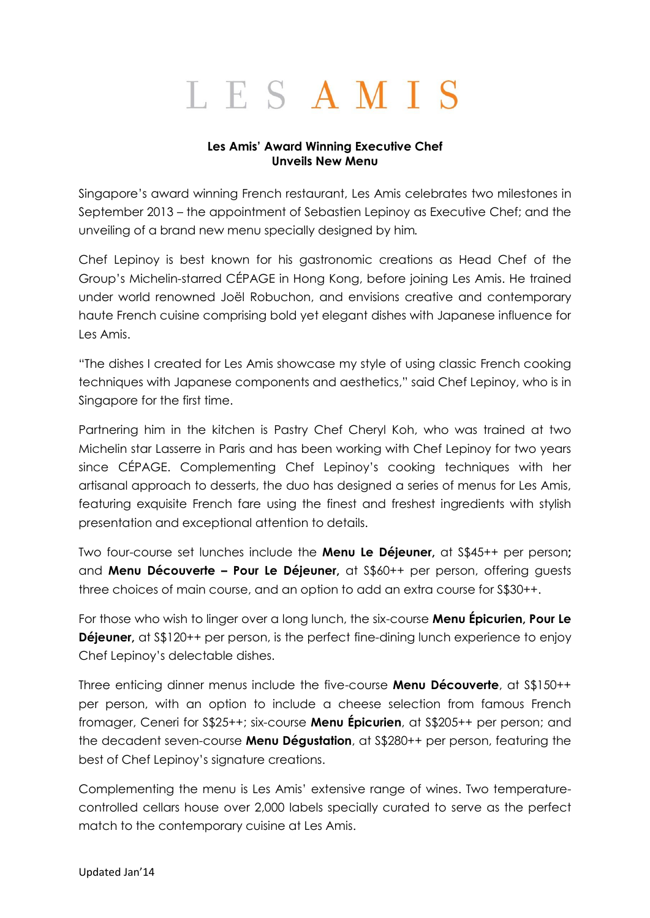## LESAMIS

## **Les Amis' Award Winning Executive Chef Unveils New Menu**

Singapore's award winning French restaurant, Les Amis celebrates two milestones in September 2013 – the appointment of Sebastien Lepinoy as Executive Chef; and the unveiling of a brand new menu specially designed by him*.*

Chef Lepinoy is best known for his gastronomic creations as Head Chef of the Group's Michelin-starred CÉPAGE in Hong Kong, before joining Les Amis. He trained under world renowned Joël Robuchon, and envisions creative and contemporary haute French cuisine comprising bold yet elegant dishes with Japanese influence for Les Amis.

"The dishes I created for Les Amis showcase my style of using classic French cooking techniques with Japanese components and aesthetics," said Chef Lepinoy, who is in Singapore for the first time.

Partnering him in the kitchen is Pastry Chef Cheryl Koh, who was trained at two Michelin star Lasserre in Paris and has been working with Chef Lepinoy for two years since CÉPAGE. Complementing Chef Lepinoy's cooking techniques with her artisanal approach to desserts, the duo has designed a series of menus for Les Amis, featuring exquisite French fare using the finest and freshest ingredients with stylish presentation and exceptional attention to details.

Two four-course set lunches include the **Menu Le Déjeuner,** at S\$45++ per person**;**  and **Menu Découverte – Pour Le Déjeuner,** at S\$60++ per person, offering guests three choices of main course, and an option to add an extra course for S\$30++.

For those who wish to linger over a long lunch, the six-course **Menu Épicurien, Pour Le Déjeuner,** at S\$120++ per person, is the perfect fine-dining lunch experience to enjoy Chef Lepinoy's delectable dishes.

Three enticing dinner menus include the five-course **Menu Découverte**, at S\$150++ per person, with an option to include a cheese selection from famous French fromager, Ceneri for S\$25++; six-course **Menu Épicurien**, at S\$205++ per person; and the decadent seven-course **Menu Dégustation**, at S\$280++ per person, featuring the best of Chef Lepinoy's signature creations.

Complementing the menu is Les Amis' extensive range of wines. Two temperaturecontrolled cellars house over 2,000 labels specially curated to serve as the perfect match to the contemporary cuisine at Les Amis.